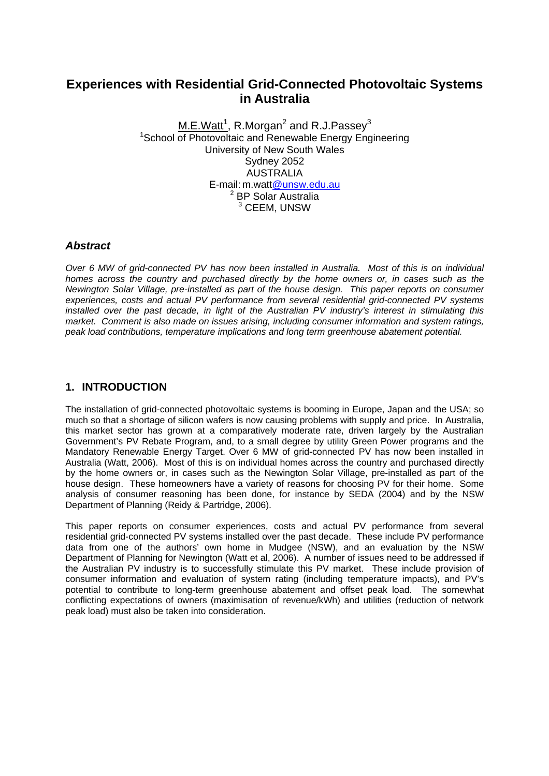# **Experiences with Residential Grid-Connected Photovoltaic Systems in Australia**

 $M.E.Watt<sup>1</sup>, R.Morgan<sup>2</sup>$  and R.J.Passey $^3$ <sup>1</sup>School of Photovoltaic and Renewable Energy Engineering University of New South Wales Sydney 2052 AUSTRALIA E-mail: m.watt@unsw.edu.au 2 BP Solar Australia 3 CEEM, UNSW

#### *Abstract*

*Over 6 MW of grid-connected PV has now been installed in Australia. Most of this is on individual homes across the country and purchased directly by the home owners or, in cases such as the Newington Solar Village, pre-installed as part of the house design. This paper reports on consumer experiences, costs and actual PV performance from several residential grid-connected PV systems installed over the past decade, in light of the Australian PV industry's interest in stimulating this market. Comment is also made on issues arising, including consumer information and system ratings, peak load contributions, temperature implications and long term greenhouse abatement potential.* 

### **1. INTRODUCTION**

The installation of grid-connected photovoltaic systems is booming in Europe, Japan and the USA; so much so that a shortage of silicon wafers is now causing problems with supply and price. In Australia, this market sector has grown at a comparatively moderate rate, driven largely by the Australian Government's PV Rebate Program, and, to a small degree by utility Green Power programs and the Mandatory Renewable Energy Target. Over 6 MW of grid-connected PV has now been installed in Australia (Watt, 2006). Most of this is on individual homes across the country and purchased directly by the home owners or, in cases such as the Newington Solar Village, pre-installed as part of the house design. These homeowners have a variety of reasons for choosing PV for their home. Some analysis of consumer reasoning has been done, for instance by SEDA (2004) and by the NSW Department of Planning (Reidy & Partridge, 2006).

This paper reports on consumer experiences, costs and actual PV performance from several residential grid-connected PV systems installed over the past decade. These include PV performance data from one of the authors' own home in Mudgee (NSW), and an evaluation by the NSW Department of Planning for Newington (Watt et al, 2006). A number of issues need to be addressed if the Australian PV industry is to successfully stimulate this PV market. These include provision of consumer information and evaluation of system rating (including temperature impacts), and PV's potential to contribute to long-term greenhouse abatement and offset peak load. The somewhat conflicting expectations of owners (maximisation of revenue/kWh) and utilities (reduction of network peak load) must also be taken into consideration.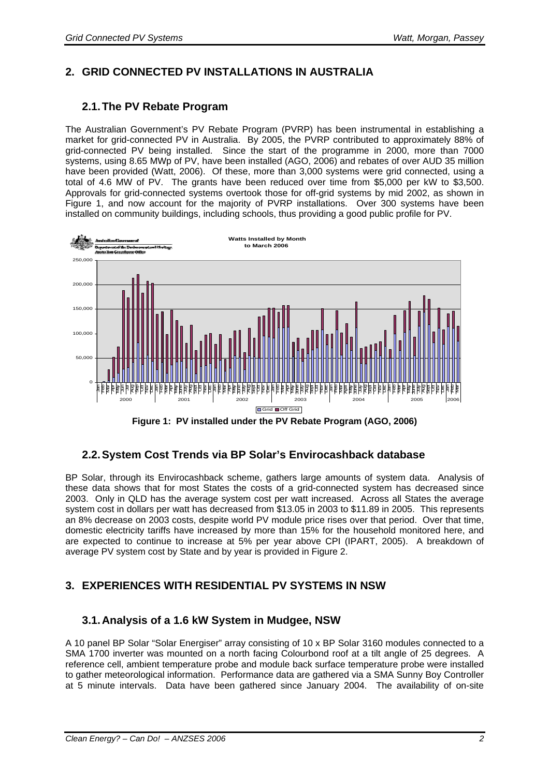# **2. GRID CONNECTED PV INSTALLATIONS IN AUSTRALIA**

# **2.1. The PV Rebate Program**

The Australian Government's PV Rebate Program (PVRP) has been instrumental in establishing a market for grid-connected PV in Australia. By 2005, the PVRP contributed to approximately 88% of grid-connected PV being installed. Since the start of the programme in 2000, more than 7000 systems, using 8.65 MWp of PV, have been installed (AGO, 2006) and rebates of over AUD 35 million have been provided (Watt, 2006). Of these, more than 3,000 systems were grid connected, using a total of 4.6 MW of PV. The grants have been reduced over time from \$5,000 per kW to \$3,500. Approvals for grid-connected systems overtook those for off-grid systems by mid 2002, as shown in Figure 1, and now account for the majority of PVRP installations. Over 300 systems have been installed on community buildings, including schools, thus providing a good public profile for PV.



**Figure 1: PV installed under the PV Rebate Program (AGO, 2006)** 

# **2.2. System Cost Trends via BP Solar's Envirocashback database**

BP Solar, through its Envirocashback scheme, gathers large amounts of system data. Analysis of these data shows that for most States the costs of a grid-connected system has decreased since 2003. Only in QLD has the average system cost per watt increased. Across all States the average system cost in dollars per watt has decreased from \$13.05 in 2003 to \$11.89 in 2005. This represents an 8% decrease on 2003 costs, despite world PV module price rises over that period. Over that time, domestic electricity tariffs have increased by more than 15% for the household monitored here, and are expected to continue to increase at 5% per year above CPI (IPART, 2005). A breakdown of average PV system cost by State and by year is provided in Figure 2.

# **3. EXPERIENCES WITH RESIDENTIAL PV SYSTEMS IN NSW**

### **3.1. Analysis of a 1.6 kW System in Mudgee, NSW**

A 10 panel BP Solar "Solar Energiser" array consisting of 10 x BP Solar 3160 modules connected to a SMA 1700 inverter was mounted on a north facing Colourbond roof at a tilt angle of 25 degrees. A reference cell, ambient temperature probe and module back surface temperature probe were installed to gather meteorological information. Performance data are gathered via a SMA Sunny Boy Controller at 5 minute intervals. Data have been gathered since January 2004. The availability of on-site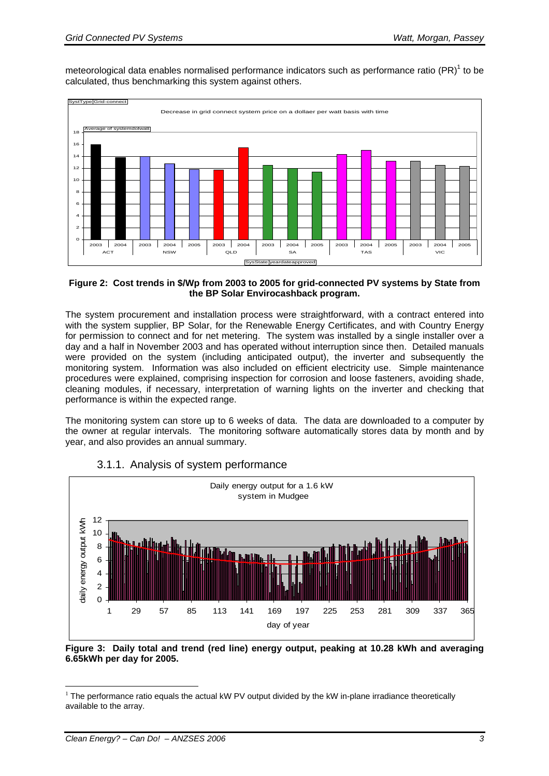meteorological data enables normalised performance indicators such as performance ratio (PR)<sup>1</sup> to be calculated, thus benchmarking this system against others.



#### **Figure 2: Cost trends in \$/Wp from 2003 to 2005 for grid-connected PV systems by State from the BP Solar Envirocashback program.**

The system procurement and installation process were straightforward, with a contract entered into with the system supplier, BP Solar, for the Renewable Energy Certificates, and with Country Energy for permission to connect and for net metering. The system was installed by a single installer over a day and a half in November 2003 and has operated without interruption since then. Detailed manuals were provided on the system (including anticipated output), the inverter and subsequently the monitoring system. Information was also included on efficient electricity use. Simple maintenance procedures were explained, comprising inspection for corrosion and loose fasteners, avoiding shade, cleaning modules, if necessary, interpretation of warning lights on the inverter and checking that performance is within the expected range.

The monitoring system can store up to 6 weeks of data. The data are downloaded to a computer by the owner at regular intervals. The monitoring software automatically stores data by month and by year, and also provides an annual summary.



### 3.1.1. Analysis of system performance

 $\overline{a}$ 

**Figure 3: Daily total and trend (red line) energy output, peaking at 10.28 kWh and averaging 6.65kWh per day for 2005.** 

 $1$  The performance ratio equals the actual kW PV output divided by the kW in-plane irradiance theoretically available to the array.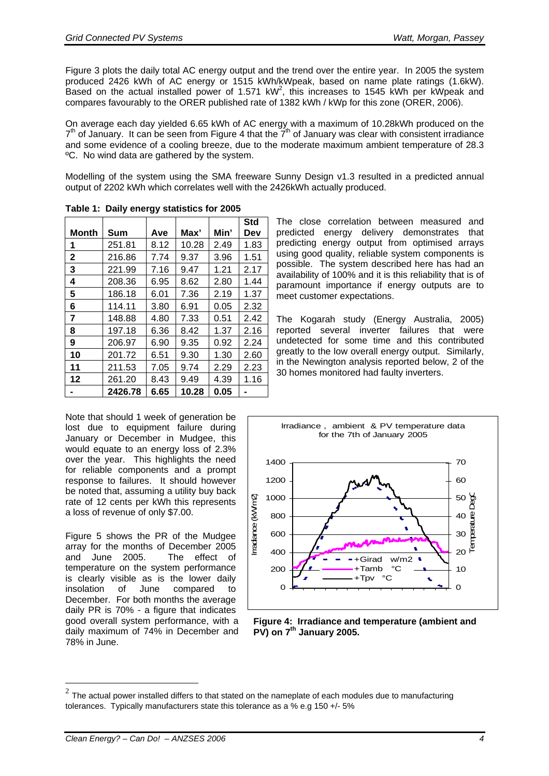Figure 3 plots the daily total AC energy output and the trend over the entire year. In 2005 the system produced 2426 kWh of AC energy or 1515 kWh/kWpeak, based on name plate ratings (1.6kW). Based on the actual installed power of 1.571 kW<sup>2</sup>, this increases to 1545 kWh per kWpeak and compares favourably to the ORER published rate of 1382 kWh / kWp for this zone (ORER, 2006).

On average each day yielded 6.65 kWh of AC energy with a maximum of 10.28kWh produced on the  $7<sup>th</sup>$  of January. It can be seen from Figure 4 that the  $7<sup>th</sup>$  of January was clear with consistent irradiance and some evidence of a cooling breeze, due to the moderate maximum ambient temperature of 28.3 ºC. No wind data are gathered by the system.

Modelling of the system using the SMA freeware Sunny Design v1.3 resulted in a predicted annual output of 2202 kWh which correlates well with the 2426kWh actually produced.

|              |         | 33   |       |      | <b>Std</b> |
|--------------|---------|------|-------|------|------------|
| <b>Month</b> | Sum     | Ave  | Max'  | Min' | Dev        |
| 1            | 251.81  | 8.12 | 10.28 | 2.49 | 1.83       |
| $\mathbf{2}$ | 216.86  | 7.74 | 9.37  | 3.96 | 1.51       |
| 3            | 221.99  | 7.16 | 9.47  | 1.21 | 2.17       |
| 4            | 208.36  | 6.95 | 8.62  | 2.80 | 1.44       |
| 5            | 186.18  | 6.01 | 7.36  | 2.19 | 1.37       |
| 6            | 114.11  | 3.80 | 6.91  | 0.05 | 2.32       |
| 7            | 148.88  | 4.80 | 7.33  | 0.51 | 2.42       |
| 8            | 197.18  | 6.36 | 8.42  | 1.37 | 2.16       |
| 9            | 206.97  | 6.90 | 9.35  | 0.92 | 2.24       |
| 10           | 201.72  | 6.51 | 9.30  | 1.30 | 2.60       |
| 11           | 211.53  | 7.05 | 9.74  | 2.29 | 2.23       |
| 12           | 261.20  | 8.43 | 9.49  | 4.39 | 1.16       |
|              | 2426.78 | 6.65 | 10.28 | 0.05 |            |

Note that should 1 week of generation be lost due to equipment failure during January or December in Mudgee, this would equate to an energy loss of 2.3% over the year. This highlights the need for reliable components and a prompt response to failures. It should however be noted that, assuming a utility buy back rate of 12 cents per kWh this represents

a loss of revenue of only \$7.00.

78% in June.

 $\overline{a}$ 

Figure 5 shows the PR of the Mudgee array for the months of December 2005 and June 2005. The effect of temperature on the system performance is clearly visible as is the lower daily insolation of June compared to December. For both months the average daily PR is 70% - a figure that indicates good overall system performance, with a daily maximum of 74% in December and

**Table 1: Daily energy statistics for 2005**

using good quality, reliable system components is possible. The system described here has had an availability of 100% and it is this reliability that is of paramount importance if energy outputs are to meet customer expectations.

The close correlation between measured and predicted energy delivery demonstrates that predicting energy output from optimised arrays

The Kogarah study (Energy Australia, 2005) reported several inverter failures that were undetected for some time and this contributed greatly to the low overall energy output. Similarly, in the Newington analysis reported below, 2 of the 30 homes monitored had faulty inverters.

Irradiance , ambient & PV temperature data for the 7th of January 2005 1400 70 1200 60 Temperature DegC rradance (kW/m2) 1000  $50$ Dep Irradiance (kW/m2) 800 40 rperature 600  $30$  $20\frac{E}{L}$ 400 +Girad w/m2 +Tamb °C 200 10 +Tpv °C $\Omega$  $\Omega$ 

**Figure 4: Irradiance and temperature (ambient and PV) on 7th January 2005.** 

 $2$  The actual power installed differs to that stated on the nameplate of each modules due to manufacturing tolerances. Typically manufacturers state this tolerance as a % e.g 150 +/- 5%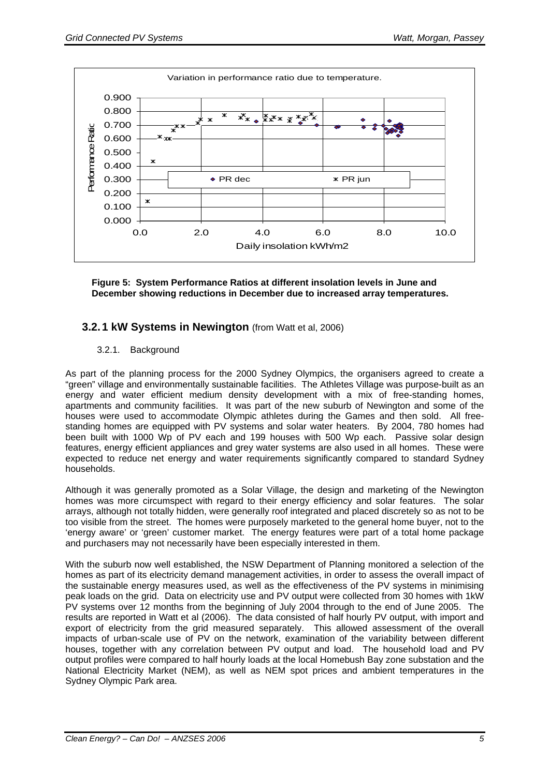

**Figure 5: System Performance Ratios at different insolation levels in June and December showing reductions in December due to increased array temperatures.** 

# **3.2. 1 kW Systems in Newington** (from Watt et al, 2006)

3.2.1. Background

As part of the planning process for the 2000 Sydney Olympics, the organisers agreed to create a "green" village and environmentally sustainable facilities. The Athletes Village was purpose-built as an energy and water efficient medium density development with a mix of free-standing homes, apartments and community facilities. It was part of the new suburb of Newington and some of the houses were used to accommodate Olympic athletes during the Games and then sold. All freestanding homes are equipped with PV systems and solar water heaters. By 2004, 780 homes had been built with 1000 Wp of PV each and 199 houses with 500 Wp each. Passive solar design features, energy efficient appliances and grey water systems are also used in all homes. These were expected to reduce net energy and water requirements significantly compared to standard Sydney households.

Although it was generally promoted as a Solar Village, the design and marketing of the Newington homes was more circumspect with regard to their energy efficiency and solar features. The solar arrays, although not totally hidden, were generally roof integrated and placed discretely so as not to be too visible from the street. The homes were purposely marketed to the general home buyer, not to the 'energy aware' or 'green' customer market. The energy features were part of a total home package and purchasers may not necessarily have been especially interested in them.

With the suburb now well established, the NSW Department of Planning monitored a selection of the homes as part of its electricity demand management activities, in order to assess the overall impact of the sustainable energy measures used, as well as the effectiveness of the PV systems in minimising peak loads on the grid. Data on electricity use and PV output were collected from 30 homes with 1kW PV systems over 12 months from the beginning of July 2004 through to the end of June 2005. The results are reported in Watt et al (2006). The data consisted of half hourly PV output, with import and export of electricity from the grid measured separately. This allowed assessment of the overall impacts of urban-scale use of PV on the network, examination of the variability between different houses, together with any correlation between PV output and load. The household load and PV output profiles were compared to half hourly loads at the local Homebush Bay zone substation and the National Electricity Market (NEM), as well as NEM spot prices and ambient temperatures in the Sydney Olympic Park area.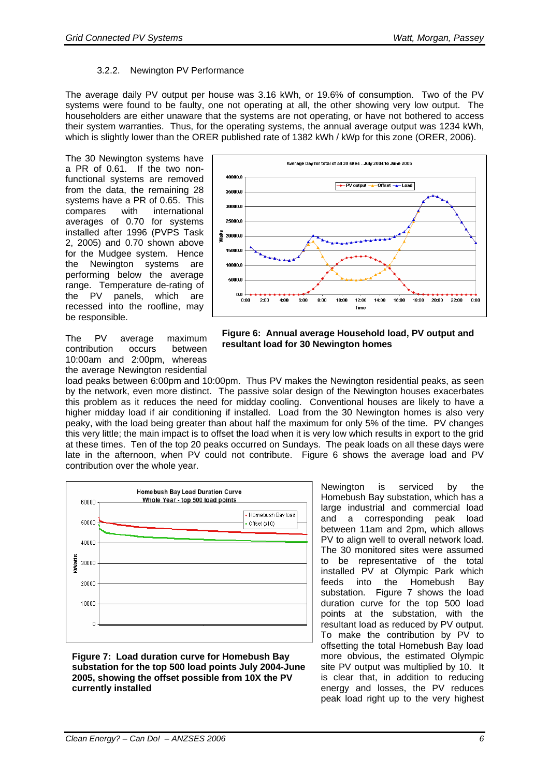#### 3.2.2. Newington PV Performance

The average daily PV output per house was 3.16 kWh, or 19.6% of consumption. Two of the PV systems were found to be faulty, one not operating at all, the other showing very low output. The householders are either unaware that the systems are not operating, or have not bothered to access their system warranties. Thus, for the operating systems, the annual average output was 1234 kWh, which is slightly lower than the ORER published rate of 1382 kWh / kWp for this zone (ORER, 2006).

The 30 Newington systems have a PR of 0.61. If the two nonfunctional systems are removed from the data, the remaining 28 systems have a PR of 0.65. This compares with international averages of 0.70 for systems installed after 1996 (PVPS Task 2, 2005) and 0.70 shown above for the Mudgee system. Hence the Newington systems are performing below the average range. Temperature de-rating of the PV panels, which are recessed into the roofline, may be responsible.

The PV average maximum contribution occurs between 10:00am and 2:00pm, whereas the average Newington residential



**Figure 6: Annual average Household load, PV output and resultant load for 30 Newington homes** 

load peaks between 6:00pm and 10:00pm. Thus PV makes the Newington residential peaks, as seen by the network, even more distinct. The passive solar design of the Newington houses exacerbates this problem as it reduces the need for midday cooling. Conventional houses are likely to have a higher midday load if air conditioning if installed. Load from the 30 Newington homes is also very peaky, with the load being greater than about half the maximum for only 5% of the time. PV changes this very little; the main impact is to offset the load when it is very low which results in export to the grid at these times. Ten of the top 20 peaks occurred on Sundays. The peak loads on all these days were late in the afternoon, when PV could not contribute. Figure 6 shows the average load and PV contribution over the whole year.



**Figure 7: Load duration curve for Homebush Bay substation for the top 500 load points July 2004-June 2005, showing the offset possible from 10X the PV currently installed** 

Newington is serviced by the Homebush Bay substation, which has a large industrial and commercial load and a corresponding peak load between 11am and 2pm, which allows PV to align well to overall network load. The 30 monitored sites were assumed to be representative of the total installed PV at Olympic Park which feeds into the Homebush Bay substation. Figure 7 shows the load duration curve for the top 500 load points at the substation, with the resultant load as reduced by PV output. To make the contribution by PV to offsetting the total Homebush Bay load more obvious, the estimated Olympic site PV output was multiplied by 10. It is clear that, in addition to reducing energy and losses, the PV reduces peak load right up to the very highest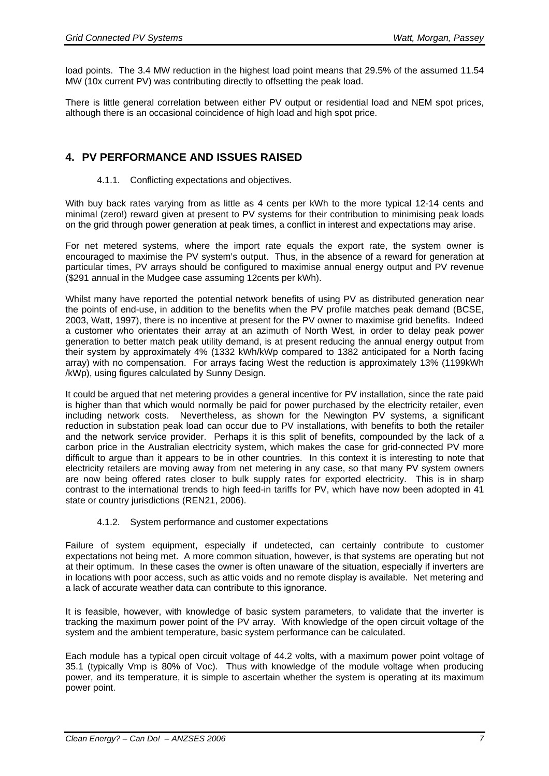load points. The 3.4 MW reduction in the highest load point means that 29.5% of the assumed 11.54 MW (10x current PV) was contributing directly to offsetting the peak load.

There is little general correlation between either PV output or residential load and NEM spot prices, although there is an occasional coincidence of high load and high spot price.

### **4. PV PERFORMANCE AND ISSUES RAISED**

#### 4.1.1. Conflicting expectations and objectives.

With buy back rates varying from as little as 4 cents per kWh to the more typical 12-14 cents and minimal (zero!) reward given at present to PV systems for their contribution to minimising peak loads on the grid through power generation at peak times, a conflict in interest and expectations may arise.

For net metered systems, where the import rate equals the export rate, the system owner is encouraged to maximise the PV system's output. Thus, in the absence of a reward for generation at particular times, PV arrays should be configured to maximise annual energy output and PV revenue (\$291 annual in the Mudgee case assuming 12cents per kWh).

Whilst many have reported the potential network benefits of using PV as distributed generation near the points of end-use, in addition to the benefits when the PV profile matches peak demand (BCSE, 2003, Watt, 1997), there is no incentive at present for the PV owner to maximise grid benefits. Indeed a customer who orientates their array at an azimuth of North West, in order to delay peak power generation to better match peak utility demand, is at present reducing the annual energy output from their system by approximately 4% (1332 kWh/kWp compared to 1382 anticipated for a North facing array) with no compensation. For arrays facing West the reduction is approximately 13% (1199kWh /kWp), using figures calculated by Sunny Design.

It could be argued that net metering provides a general incentive for PV installation, since the rate paid is higher than that which would normally be paid for power purchased by the electricity retailer, even including network costs. Nevertheless, as shown for the Newington PV systems, a significant reduction in substation peak load can occur due to PV installations, with benefits to both the retailer and the network service provider. Perhaps it is this split of benefits, compounded by the lack of a carbon price in the Australian electricity system, which makes the case for grid-connected PV more difficult to argue than it appears to be in other countries. In this context it is interesting to note that electricity retailers are moving away from net metering in any case, so that many PV system owners are now being offered rates closer to bulk supply rates for exported electricity. This is in sharp contrast to the international trends to high feed-in tariffs for PV, which have now been adopted in 41 state or country jurisdictions (REN21, 2006).

#### 4.1.2. System performance and customer expectations

Failure of system equipment, especially if undetected, can certainly contribute to customer expectations not being met. A more common situation, however, is that systems are operating but not at their optimum. In these cases the owner is often unaware of the situation, especially if inverters are in locations with poor access, such as attic voids and no remote display is available. Net metering and a lack of accurate weather data can contribute to this ignorance.

It is feasible, however, with knowledge of basic system parameters, to validate that the inverter is tracking the maximum power point of the PV array. With knowledge of the open circuit voltage of the system and the ambient temperature, basic system performance can be calculated.

Each module has a typical open circuit voltage of 44.2 volts, with a maximum power point voltage of 35.1 (typically Vmp is 80% of Voc). Thus with knowledge of the module voltage when producing power, and its temperature, it is simple to ascertain whether the system is operating at its maximum power point.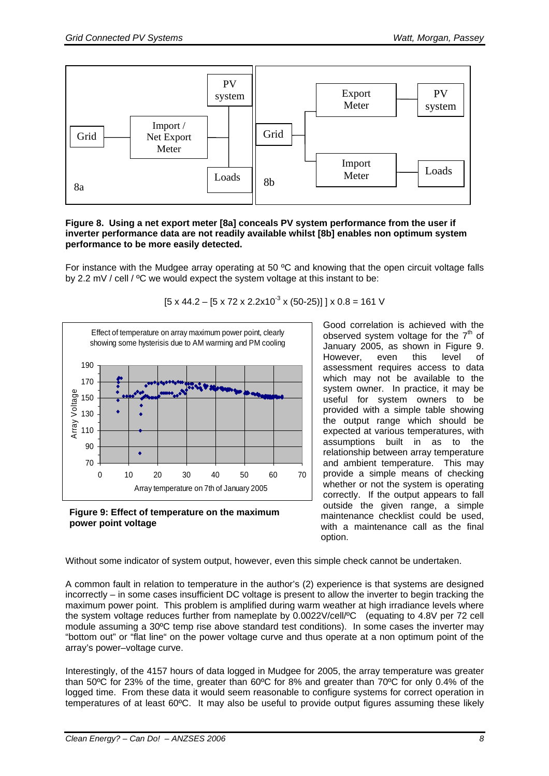

#### **Figure 8. Using a net export meter [8a] conceals PV system performance from the user if inverter performance data are not readily available whilst [8b] enables non optimum system performance to be more easily detected.**

For instance with the Mudgee array operating at 50 ºC and knowing that the open circuit voltage falls by 2.2 mV / cell / ºC we would expect the system voltage at this instant to be:



**Figure 9: Effect of temperature on the maximum power point voltage** 

Good correlation is achieved with the observed system voltage for the  $7<sup>th</sup>$  of January 2005, as shown in Figure 9. However, even this level of assessment requires access to data which may not be available to the system owner. In practice, it may be useful for system owners to be provided with a simple table showing the output range which should be expected at various temperatures, with assumptions built in as to the relationship between array temperature and ambient temperature. This may provide a simple means of checking whether or not the system is operating correctly. If the output appears to fall outside the given range, a simple maintenance checklist could be used, with a maintenance call as the final option.

Without some indicator of system output, however, even this simple check cannot be undertaken.

A common fault in relation to temperature in the author's (2) experience is that systems are designed incorrectly – in some cases insufficient DC voltage is present to allow the inverter to begin tracking the maximum power point. This problem is amplified during warm weather at high irradiance levels where the system voltage reduces further from nameplate by 0.0022V/cell/ºC (equating to 4.8V per 72 cell module assuming a 30ºC temp rise above standard test conditions). In some cases the inverter may "bottom out" or "flat line" on the power voltage curve and thus operate at a non optimum point of the array's power–voltage curve.

Interestingly, of the 4157 hours of data logged in Mudgee for 2005, the array temperature was greater than 50ºC for 23% of the time, greater than 60ºC for 8% and greater than 70ºC for only 0.4% of the logged time. From these data it would seem reasonable to configure systems for correct operation in temperatures of at least 60ºC. It may also be useful to provide output figures assuming these likely

#### $[5 \times 44.2 - [5 \times 72 \times 2.2 \times 10^{-3} \times (50-25)] \times 0.8 = 161$  V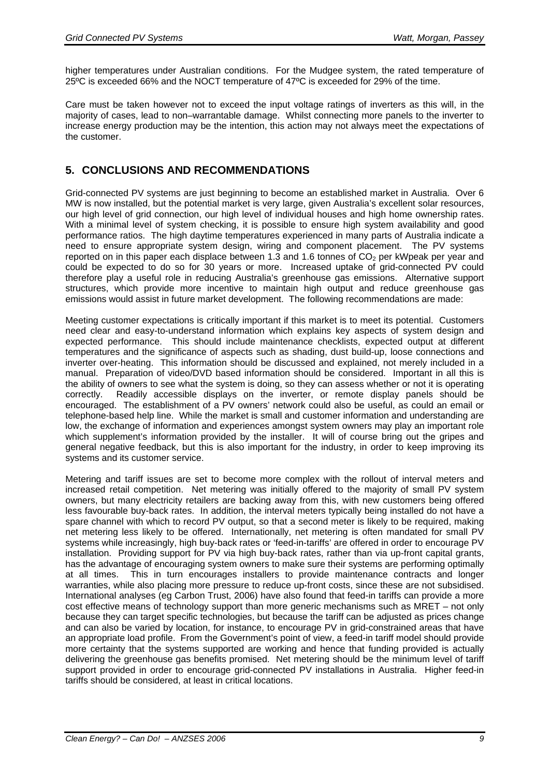higher temperatures under Australian conditions. For the Mudgee system, the rated temperature of 25ºC is exceeded 66% and the NOCT temperature of 47ºC is exceeded for 29% of the time.

Care must be taken however not to exceed the input voltage ratings of inverters as this will, in the majority of cases, lead to non–warrantable damage. Whilst connecting more panels to the inverter to increase energy production may be the intention, this action may not always meet the expectations of the customer.

### **5. CONCLUSIONS AND RECOMMENDATIONS**

Grid-connected PV systems are just beginning to become an established market in Australia. Over 6 MW is now installed, but the potential market is very large, given Australia's excellent solar resources, our high level of grid connection, our high level of individual houses and high home ownership rates. With a minimal level of system checking, it is possible to ensure high system availability and good performance ratios. The high daytime temperatures experienced in many parts of Australia indicate a need to ensure appropriate system design, wiring and component placement. The PV systems reported on in this paper each displace between 1.3 and 1.6 tonnes of  $CO<sub>2</sub>$  per kWpeak per year and could be expected to do so for 30 years or more. Increased uptake of grid-connected PV could therefore play a useful role in reducing Australia's greenhouse gas emissions. Alternative support structures, which provide more incentive to maintain high output and reduce greenhouse gas emissions would assist in future market development. The following recommendations are made:

Meeting customer expectations is critically important if this market is to meet its potential. Customers need clear and easy-to-understand information which explains key aspects of system design and expected performance. This should include maintenance checklists, expected output at different temperatures and the significance of aspects such as shading, dust build-up, loose connections and inverter over-heating. This information should be discussed and explained, not merely included in a manual. Preparation of video/DVD based information should be considered. Important in all this is the ability of owners to see what the system is doing, so they can assess whether or not it is operating correctly. Readily accessible displays on the inverter, or remote display panels should be encouraged. The establishment of a PV owners' network could also be useful, as could an email or telephone-based help line. While the market is small and customer information and understanding are low, the exchange of information and experiences amongst system owners may play an important role which supplement's information provided by the installer. It will of course bring out the gripes and general negative feedback, but this is also important for the industry, in order to keep improving its systems and its customer service.

Metering and tariff issues are set to become more complex with the rollout of interval meters and increased retail competition. Net metering was initially offered to the majority of small PV system owners, but many electricity retailers are backing away from this, with new customers being offered less favourable buy-back rates. In addition, the interval meters typically being installed do not have a spare channel with which to record PV output, so that a second meter is likely to be required, making net metering less likely to be offered. Internationally, net metering is often mandated for small PV systems while increasingly, high buy-back rates or 'feed-in-tariffs' are offered in order to encourage PV installation. Providing support for PV via high buy-back rates, rather than via up-front capital grants, has the advantage of encouraging system owners to make sure their systems are performing optimally at all times. This in turn encourages installers to provide maintenance contracts and longer warranties, while also placing more pressure to reduce up-front costs, since these are not subsidised. International analyses (eg Carbon Trust, 2006) have also found that feed-in tariffs can provide a more cost effective means of technology support than more generic mechanisms such as MRET – not only because they can target specific technologies, but because the tariff can be adjusted as prices change and can also be varied by location, for instance, to encourage PV in grid-constrained areas that have an appropriate load profile. From the Government's point of view, a feed-in tariff model should provide more certainty that the systems supported are working and hence that funding provided is actually delivering the greenhouse gas benefits promised. Net metering should be the minimum level of tariff support provided in order to encourage grid-connected PV installations in Australia. Higher feed-in tariffs should be considered, at least in critical locations.